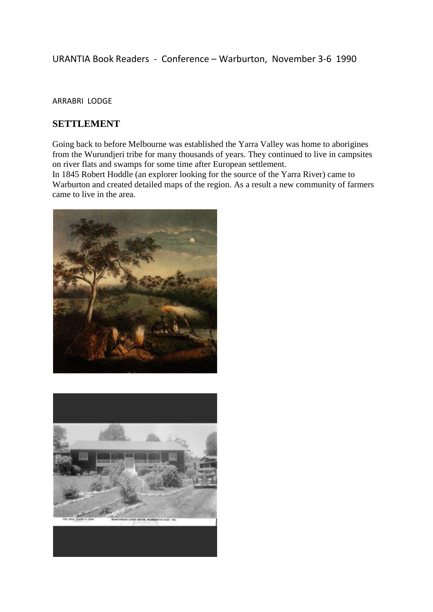# URANTIA Book Readers - Conference – Warburton, November 3-6 1990

#### ARRABRI LODGE

### **SETTLEMENT**

Going back to before Melbourne was established the Yarra Valley was home to aborigines from the Wurundjeri tribe for many thousands of years. They continued to live in campsites on river flats and swamps for some time after European settlement.

In 1845 Robert Hoddle (an explorer looking for the source of the Yarra River) came to Warburton and created detailed maps of the region. As a result a new community of farmers came to live in the area.



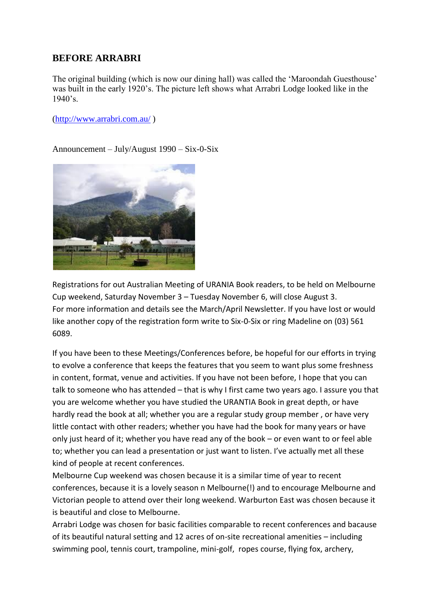## **BEFORE ARRABRI**

The original building (which is now our dining hall) was called the 'Maroondah Guesthouse' was built in the early 1920's. The picture left shows what Arrabri Lodge looked like in the  $1940$ 's.

[\(http://www.arrabri.com.au/](http://www.arrabri.com.au/) )

Announcement – July/August 1990 – Six-0-Six



Registrations for out Australian Meeting of URANIA Book readers, to be held on Melbourne Cup weekend, Saturday November 3 – Tuesday November 6, will close August 3. For more information and details see the March/April Newsletter. If you have lost or would like another copy of the registration form write to Six-0-Six or ring Madeline on (03) 561 6089.

If you have been to these Meetings/Conferences before, be hopeful for our efforts in trying to evolve a conference that keeps the features that you seem to want plus some freshness in content, format, venue and activities. If you have not been before, I hope that you can talk to someone who has attended – that is why I first came two years ago. I assure you that you are welcome whether you have studied the URANTIA Book in great depth, or have hardly read the book at all; whether you are a regular study group member , or have very little contact with other readers; whether you have had the book for many years or have only just heard of it; whether you have read any of the book – or even want to or feel able to; whether you can lead a presentation or just want to listen. I've actually met all these kind of people at recent conferences.

Melbourne Cup weekend was chosen because it is a similar time of year to recent conferences, because it is a lovely season n Melbourne(!) and to encourage Melbourne and Victorian people to attend over their long weekend. Warburton East was chosen because it is beautiful and close to Melbourne.

Arrabri Lodge was chosen for basic facilities comparable to recent conferences and bacause of its beautiful natural setting and 12 acres of on-site recreational amenities – including swimming pool, tennis court, trampoline, mini-golf, ropes course, flying fox, archery,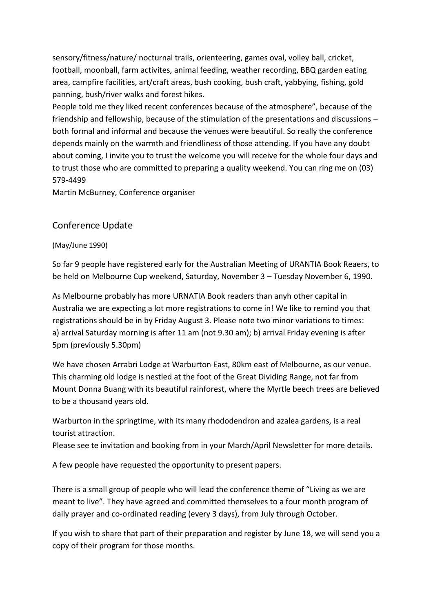sensory/fitness/nature/ nocturnal trails, orienteering, games oval, volley ball, cricket, football, moonball, farm activites, animal feeding, weather recording, BBQ garden eating area, campfire facilities, art/craft areas, bush cooking, bush craft, yabbying, fishing, gold panning, bush/river walks and forest hikes.

People told me they liked recent conferences because of the atmosphere", because of the friendship and fellowship, because of the stimulation of the presentations and discussions – both formal and informal and because the venues were beautiful. So really the conference depends mainly on the warmth and friendliness of those attending. If you have any doubt about coming, I invite you to trust the welcome you will receive for the whole four days and to trust those who are committed to preparing a quality weekend. You can ring me on (03) 579-4499

Martin McBurney, Conference organiser

# Conference Update

#### (May/June 1990)

So far 9 people have registered early for the Australian Meeting of URANTIA Book Reaers, to be held on Melbourne Cup weekend, Saturday, November 3 – Tuesday November 6, 1990.

As Melbourne probably has more URNATIA Book readers than anyh other capital in Australia we are expecting a lot more registrations to come in! We like to remind you that registrations should be in by Friday August 3. Please note two minor variations to times: a) arrival Saturday morning is after 11 am (not 9.30 am); b) arrival Friday evening is after 5pm (previously 5.30pm)

We have chosen Arrabri Lodge at Warburton East, 80km east of Melbourne, as our venue. This charming old lodge is nestled at the foot of the Great Dividing Range, not far from Mount Donna Buang with its beautiful rainforest, where the Myrtle beech trees are believed to be a thousand years old.

Warburton in the springtime, with its many rhododendron and azalea gardens, is a real tourist attraction.

Please see te invitation and booking from in your March/April Newsletter for more details.

A few people have requested the opportunity to present papers.

There is a small group of people who will lead the conference theme of "Living as we are meant to live". They have agreed and committed themselves to a four month program of daily prayer and co-ordinated reading (every 3 days), from July through October.

If you wish to share that part of their preparation and register by June 18, we will send you a copy of their program for those months.